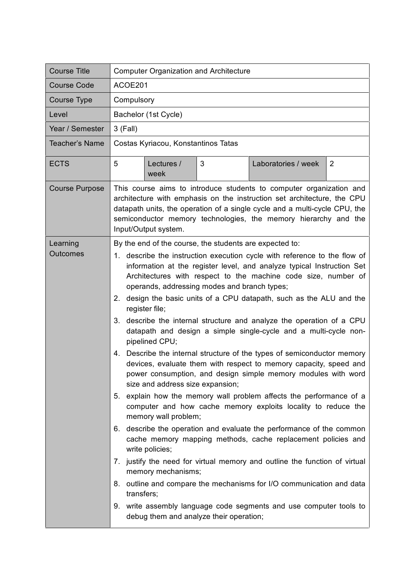| <b>Course Title</b>         | <b>Computer Organization and Architecture</b>                                                                                                                                                                                                                                                                                                                                                                                                                                                                                                                                                                                                                                                                                                                                                                                                                                                                                                                                                                                                                                                                                                                                                                                                                                                                                                                                                                                                                                           |  |  |
|-----------------------------|-----------------------------------------------------------------------------------------------------------------------------------------------------------------------------------------------------------------------------------------------------------------------------------------------------------------------------------------------------------------------------------------------------------------------------------------------------------------------------------------------------------------------------------------------------------------------------------------------------------------------------------------------------------------------------------------------------------------------------------------------------------------------------------------------------------------------------------------------------------------------------------------------------------------------------------------------------------------------------------------------------------------------------------------------------------------------------------------------------------------------------------------------------------------------------------------------------------------------------------------------------------------------------------------------------------------------------------------------------------------------------------------------------------------------------------------------------------------------------------------|--|--|
| <b>Course Code</b>          | ACOE201                                                                                                                                                                                                                                                                                                                                                                                                                                                                                                                                                                                                                                                                                                                                                                                                                                                                                                                                                                                                                                                                                                                                                                                                                                                                                                                                                                                                                                                                                 |  |  |
| Course Type                 | Compulsory                                                                                                                                                                                                                                                                                                                                                                                                                                                                                                                                                                                                                                                                                                                                                                                                                                                                                                                                                                                                                                                                                                                                                                                                                                                                                                                                                                                                                                                                              |  |  |
| Level                       | Bachelor (1st Cycle)                                                                                                                                                                                                                                                                                                                                                                                                                                                                                                                                                                                                                                                                                                                                                                                                                                                                                                                                                                                                                                                                                                                                                                                                                                                                                                                                                                                                                                                                    |  |  |
| Year / Semester             | 3 (Fall)                                                                                                                                                                                                                                                                                                                                                                                                                                                                                                                                                                                                                                                                                                                                                                                                                                                                                                                                                                                                                                                                                                                                                                                                                                                                                                                                                                                                                                                                                |  |  |
| <b>Teacher's Name</b>       | Costas Kyriacou, Konstantinos Tatas                                                                                                                                                                                                                                                                                                                                                                                                                                                                                                                                                                                                                                                                                                                                                                                                                                                                                                                                                                                                                                                                                                                                                                                                                                                                                                                                                                                                                                                     |  |  |
| <b>ECTS</b>                 | 5<br>Lectures /<br>3<br>Laboratories / week<br>$\overline{2}$<br>week                                                                                                                                                                                                                                                                                                                                                                                                                                                                                                                                                                                                                                                                                                                                                                                                                                                                                                                                                                                                                                                                                                                                                                                                                                                                                                                                                                                                                   |  |  |
| <b>Course Purpose</b>       | This course aims to introduce students to computer organization and<br>architecture with emphasis on the instruction set architecture, the CPU<br>datapath units, the operation of a single cycle and a multi-cycle CPU, the<br>semiconductor memory technologies, the memory hierarchy and the<br>Input/Output system.                                                                                                                                                                                                                                                                                                                                                                                                                                                                                                                                                                                                                                                                                                                                                                                                                                                                                                                                                                                                                                                                                                                                                                 |  |  |
| Learning<br><b>Outcomes</b> | By the end of the course, the students are expected to:<br>1. describe the instruction execution cycle with reference to the flow of<br>information at the register level, and analyze typical Instruction Set<br>Architectures with respect to the machine code size, number of<br>operands, addressing modes and branch types;<br>2. design the basic units of a CPU datapath, such as the ALU and the<br>register file;<br>3. describe the internal structure and analyze the operation of a CPU<br>datapath and design a simple single-cycle and a multi-cycle non-<br>pipelined CPU;<br>Describe the internal structure of the types of semiconductor memory<br>4.<br>devices, evaluate them with respect to memory capacity, speed and<br>power consumption, and design simple memory modules with word<br>size and address size expansion;<br>5. explain how the memory wall problem affects the performance of a<br>computer and how cache memory exploits locality to reduce the<br>memory wall problem;<br>6. describe the operation and evaluate the performance of the common<br>cache memory mapping methods, cache replacement policies and<br>write policies;<br>7. justify the need for virtual memory and outline the function of virtual<br>memory mechanisms;<br>8. outline and compare the mechanisms for I/O communication and data<br>transfers;<br>9. write assembly language code segments and use computer tools to<br>debug them and analyze their operation; |  |  |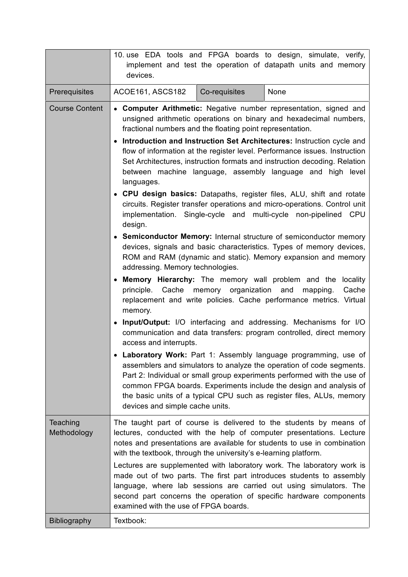|                         | 10. use EDA tools and FPGA boards to design, simulate, verify,<br>implement and test the operation of datapath units and memory<br>devices.                                                                                                                                                                                                                                                                                                                                                                                                                                                                                                                                                                                                                                                                                                                                                                                                                                                                                                                                                                                                                                                                                                                                                                                                                                                                                                                                                                                                                                                                                                                                                                                                                                                                                           |  |  |
|-------------------------|---------------------------------------------------------------------------------------------------------------------------------------------------------------------------------------------------------------------------------------------------------------------------------------------------------------------------------------------------------------------------------------------------------------------------------------------------------------------------------------------------------------------------------------------------------------------------------------------------------------------------------------------------------------------------------------------------------------------------------------------------------------------------------------------------------------------------------------------------------------------------------------------------------------------------------------------------------------------------------------------------------------------------------------------------------------------------------------------------------------------------------------------------------------------------------------------------------------------------------------------------------------------------------------------------------------------------------------------------------------------------------------------------------------------------------------------------------------------------------------------------------------------------------------------------------------------------------------------------------------------------------------------------------------------------------------------------------------------------------------------------------------------------------------------------------------------------------------|--|--|
| Prerequisites           | Co-requisites<br>None<br>ACOE161, ASCS182                                                                                                                                                                                                                                                                                                                                                                                                                                                                                                                                                                                                                                                                                                                                                                                                                                                                                                                                                                                                                                                                                                                                                                                                                                                                                                                                                                                                                                                                                                                                                                                                                                                                                                                                                                                             |  |  |
| <b>Course Content</b>   | <b>Computer Arithmetic:</b> Negative number representation, signed and<br>$\bullet$<br>unsigned arithmetic operations on binary and hexadecimal numbers,<br>fractional numbers and the floating point representation.<br>• Introduction and Instruction Set Architectures: Instruction cycle and<br>flow of information at the register level. Performance issues. Instruction<br>Set Architectures, instruction formats and instruction decoding. Relation<br>between machine language, assembly language and high level<br>languages.<br>• CPU design basics: Datapaths, register files, ALU, shift and rotate<br>circuits. Register transfer operations and micro-operations. Control unit<br>implementation. Single-cycle and<br>multi-cycle non-pipelined CPU<br>design.<br>• Semiconductor Memory: Internal structure of semiconductor memory<br>devices, signals and basic characteristics. Types of memory devices,<br>ROM and RAM (dynamic and static). Memory expansion and memory<br>addressing. Memory technologies.<br>• Memory Hierarchy: The memory wall problem and the<br>locality<br>principle. Cache memory organization and<br>Cache<br>mapping.<br>replacement and write policies. Cache performance metrics. Virtual<br>memory.<br>• Input/Output: I/O interfacing and addressing. Mechanisms for I/O<br>communication and data transfers: program controlled, direct memory<br>access and interrupts.<br>• Laboratory Work: Part 1: Assembly language programming, use of<br>assemblers and simulators to analyze the operation of code segments.<br>Part 2: Individual or small group experiments performed with the use of<br>common FPGA boards. Experiments include the design and analysis of<br>the basic units of a typical CPU such as register files, ALUs, memory<br>devices and simple cache units. |  |  |
| Teaching<br>Methodology | The taught part of course is delivered to the students by means of<br>lectures, conducted with the help of computer presentations. Lecture<br>notes and presentations are available for students to use in combination<br>with the textbook, through the university's e-learning platform.<br>Lectures are supplemented with laboratory work. The laboratory work is<br>made out of two parts. The first part introduces students to assembly<br>language, where lab sessions are carried out using simulators. The<br>second part concerns the operation of specific hardware components<br>examined with the use of FPGA boards.                                                                                                                                                                                                                                                                                                                                                                                                                                                                                                                                                                                                                                                                                                                                                                                                                                                                                                                                                                                                                                                                                                                                                                                                    |  |  |
| <b>Bibliography</b>     | Textbook:                                                                                                                                                                                                                                                                                                                                                                                                                                                                                                                                                                                                                                                                                                                                                                                                                                                                                                                                                                                                                                                                                                                                                                                                                                                                                                                                                                                                                                                                                                                                                                                                                                                                                                                                                                                                                             |  |  |